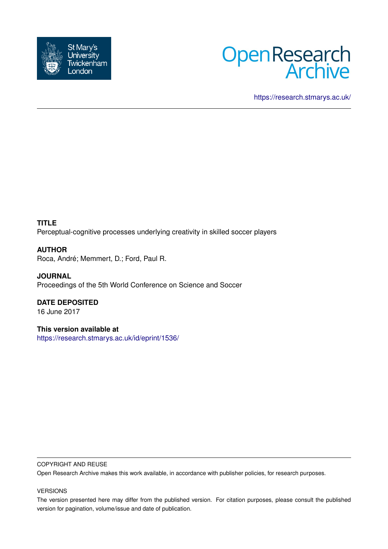



<https://research.stmarys.ac.uk/>

# **TITLE**

Perceptual-cognitive processes underlying creativity in skilled soccer players

# **AUTHOR**

Roca, André; Memmert, D.; Ford, Paul R.

**JOURNAL** Proceedings of the 5th World Conference on Science and Soccer

#### **DATE DEPOSITED** 16 June 2017

**This version available at** <https://research.stmarys.ac.uk/id/eprint/1536/>

#### COPYRIGHT AND REUSE

Open Research Archive makes this work available, in accordance with publisher policies, for research purposes.

# VERSIONS

The version presented here may differ from the published version. For citation purposes, please consult the published version for pagination, volume/issue and date of publication.